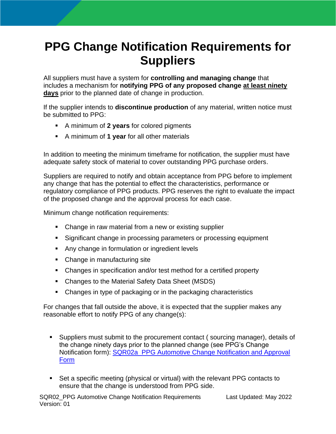## **PPG Change Notification Requirements for Suppliers**

All suppliers must have a system for **controlling and managing change** that includes a mechanism for **notifying PPG of any proposed change at least ninety days** prior to the planned date of change in production.

If the supplier intends to **discontinue production** of any material, written notice must be submitted to PPG:

- A minimum of **2 years** for colored pigments
- A minimum of **1 year** for all other materials

In addition to meeting the minimum timeframe for notification, the supplier must have adequate safety stock of material to cover outstanding PPG purchase orders.

Suppliers are required to notify and obtain acceptance from PPG before to implement any change that has the potential to effect the characteristics, performance or regulatory compliance of PPG products. PPG reserves the right to evaluate the impact of the proposed change and the approval process for each case.

Minimum change notification requirements:

- Change in raw material from a new or existing supplier
- Significant change in processing parameters or processing equipment
- Any change in formulation or ingredient levels
- Change in manufacturing site
- Changes in specification and/or test method for a certified property
- Changes to the Material Safety Data Sheet (MSDS)
- Changes in type of packaging or in the packaging characteristics

For changes that fall outside the above, it is expected that the supplier makes any reasonable effort to notify PPG of any change(s):

- Suppliers must submit to the procurement contact ( sourcing manager), details of the change ninety days prior to the planned change (see PPG's Change Notification form): [SQR02a\\_PPG Automotive Change Notification and Approval](https://procurement.ppg.com/getmedia/347df0f5-43de-40c0-9122-07f868277ed5/SQR02a_PPG-Automotive-Change-Notification-and-Approval-Form.xlsx)  [Form](https://procurement.ppg.com/getmedia/347df0f5-43de-40c0-9122-07f868277ed5/SQR02a_PPG-Automotive-Change-Notification-and-Approval-Form.xlsx)
- Set a specific meeting (physical or virtual) with the relevant PPG contacts to ensure that the change is understood from PPG side.

SQR02\_PPG Automotive Change Notification Requirements Last Updated: May 2022 Version: 01